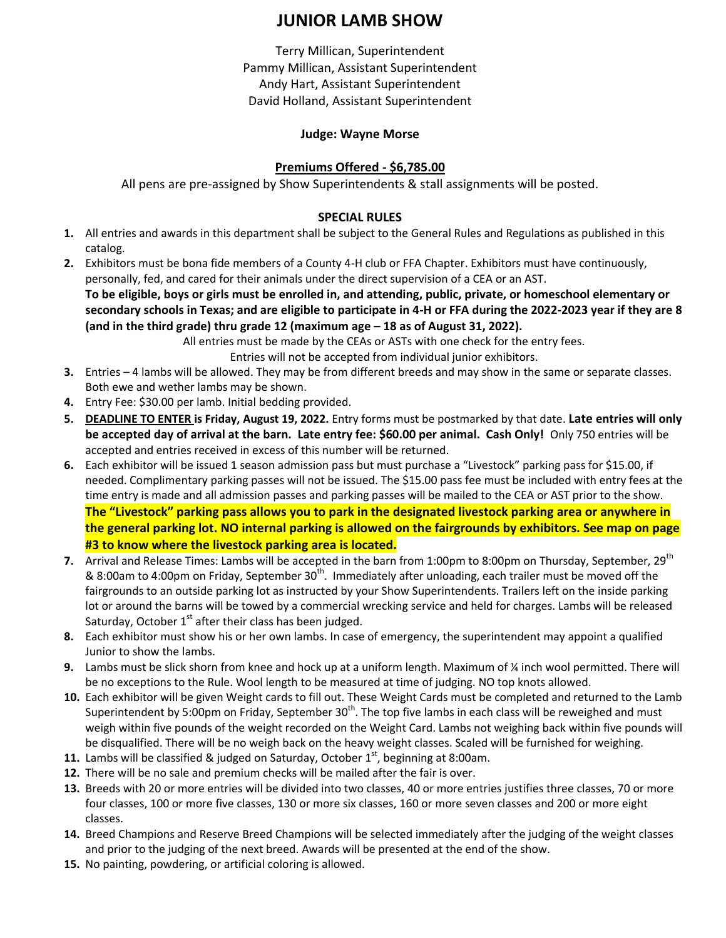# **JUNIOR LAMB SHOW**

Terry Millican, Superintendent Pammy Millican, Assistant Superintendent Andy Hart, Assistant Superintendent David Holland, Assistant Superintendent

## **Judge: Wayne Morse**

## **Premiums Offered - \$6,785.00**

All pens are pre-assigned by Show Superintendents & stall assignments will be posted.

## **SPECIAL RULES**

- **1.** All entries and awards in this department shall be subject to the General Rules and Regulations as published in this catalog.
- **2.** Exhibitors must be bona fide members of a County 4-H club or FFA Chapter. Exhibitors must have continuously, personally, fed, and cared for their animals under the direct supervision of a CEA or an AST.

**To be eligible, boys or girls must be enrolled in, and attending, public, private, or homeschool elementary or secondary schools in Texas; and are eligible to participate in 4-H or FFA during the 2022-2023 year if they are 8 (and in the third grade) thru grade 12 (maximum age – 18 as of August 31, 2022).**

All entries must be made by the CEAs or ASTs with one check for the entry fees.

Entries will not be accepted from individual junior exhibitors.

- **3.** Entries 4 lambs will be allowed. They may be from different breeds and may show in the same or separate classes. Both ewe and wether lambs may be shown.
- **4.** Entry Fee: \$30.00 per lamb. Initial bedding provided.
- **5. DEADLINE TO ENTER is Friday, August 19, 2022.** Entry forms must be postmarked by that date. **Late entries will only be accepted day of arrival at the barn. Late entry fee: \$60.00 per animal. Cash Only!** Only 750 entries will be accepted and entries received in excess of this number will be returned.
- **6.** Each exhibitor will be issued 1 season admission pass but must purchase a "Livestock" parking pass for \$15.00, if needed. Complimentary parking passes will not be issued. The \$15.00 pass fee must be included with entry fees at the time entry is made and all admission passes and parking passes will be mailed to the CEA or AST prior to the show. **The "Livestock" parking pass allows you to park in the designated livestock parking area or anywhere in the general parking lot. NO internal parking is allowed on the fairgrounds by exhibitors. See map on page #3 to know where the livestock parking area is located.**
- **7.** Arrival and Release Times: Lambs will be accepted in the barn from 1:00pm to 8:00pm on Thursday, September, 29<sup>th</sup> & 8:00am to 4:00pm on Friday, September 30<sup>th</sup>. Immediately after unloading, each trailer must be moved off the fairgrounds to an outside parking lot as instructed by your Show Superintendents. Trailers left on the inside parking lot or around the barns will be towed by a commercial wrecking service and held for charges. Lambs will be released Saturday, October  $1<sup>st</sup>$  after their class has been judged.
- **8.** Each exhibitor must show his or her own lambs. In case of emergency, the superintendent may appoint a qualified Junior to show the lambs.
- **9.** Lambs must be slick shorn from knee and hock up at a uniform length. Maximum of ¼ inch wool permitted. There will be no exceptions to the Rule. Wool length to be measured at time of judging. NO top knots allowed.
- **10.** Each exhibitor will be given Weight cards to fill out. These Weight Cards must be completed and returned to the Lamb Superintendent by 5:00pm on Friday, September 30<sup>th</sup>. The top five lambs in each class will be reweighed and must weigh within five pounds of the weight recorded on the Weight Card. Lambs not weighing back within five pounds will be disqualified. There will be no weigh back on the heavy weight classes. Scaled will be furnished for weighing.
- 11. Lambs will be classified & judged on Saturday, October 1<sup>st</sup>, beginning at 8:00am.
- **12.** There will be no sale and premium checks will be mailed after the fair is over.
- **13.** Breeds with 20 or more entries will be divided into two classes, 40 or more entries justifies three classes, 70 or more four classes, 100 or more five classes, 130 or more six classes, 160 or more seven classes and 200 or more eight classes.
- **14.** Breed Champions and Reserve Breed Champions will be selected immediately after the judging of the weight classes and prior to the judging of the next breed. Awards will be presented at the end of the show.
- **15.** No painting, powdering, or artificial coloring is allowed.